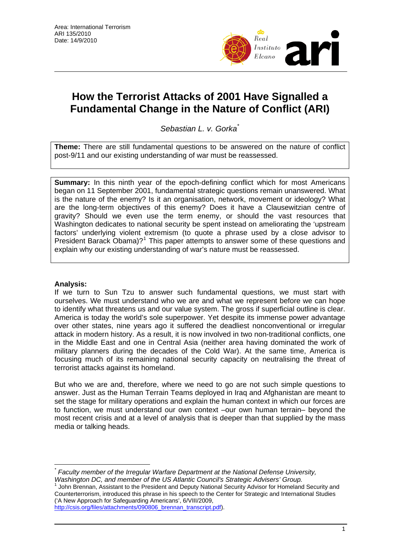

# **How the Terrorist Attacks of 2001 Have Signalled a Fundamental Change in the Nature of Conflict (ARI)**

*Sebastian L. v. Gorka*[\\*](#page-0-0)

**Theme:** There are still fundamental questions to be answered on the nature of conflict post-9/11 and our existing understanding of war must be reassessed.

**Summary:** In this ninth year of the epoch-defining conflict which for most Americans began on 11 September 2001, fundamental strategic questions remain unanswered. What is the nature of the enemy? Is it an organisation, network, movement or ideology? What are the long-term objectives of this enemy? Does it have a Clausewitzian centre of gravity? Should we even use the term enemy, or should the vast resources that Washington dedicates to national security be spent instead on ameliorating the 'upstream factors' underlying violent extremism (to quote a phrase used by a close advisor to President Barack Obama)?<sup>[1](#page-0-1)</sup> This paper attempts to answer some of these questions and explain why our existing understanding of war's nature must be reassessed.

# **Analysis:**

If we turn to Sun Tzu to answer such fundamental questions, we must start with ourselves. We must understand who we are and what we represent before we can hope to identify what threatens us and our value system. The gross if superficial outline is clear. America is today the world's sole superpower. Yet despite its immense power advantage over other states, nine years ago it suffered the deadliest nonconventional or irregular attack in modern history. As a result, it is now involved in two non-traditional conflicts, one in the Middle East and one in Central Asia (neither area having dominated the work of military planners during the decades of the Cold War). At the same time, America is focusing much of its remaining national security capacity on neutralising the threat of terrorist attacks against its homeland.

But who we are and, therefore, where we need to go are not such simple questions to answer. Just as the Human Terrain Teams deployed in Iraq and Afghanistan are meant to set the stage for military operations and explain the human context in which our forces are to function, we must understand our own context –our own human terrain– beyond the most recent crisis and at a level of analysis that is deeper than that supplied by the mass media or talking heads.

<span id="page-0-1"></span> John Brennan, Assistant to the President and Deputy National Security Advisor for Homeland Security and Counterterrorism, introduced this phrase in his speech to the Center for Strategic and International Studies ('A New Approach for Safeguarding Americans', 6/VIII/2009,

[http://csis.org/files/attachments/090806\\_brennan\\_transcript.pdf](http://csis.org/files/attachments/090806_brennan_transcript.pdf)).

<span id="page-0-0"></span> $\overline{a}$ *\* Faculty member of the Irregular Warfare Department at the National Defense University,*  Washington DC, and member of the US Atlantic Council's Strategic Advisers' Group.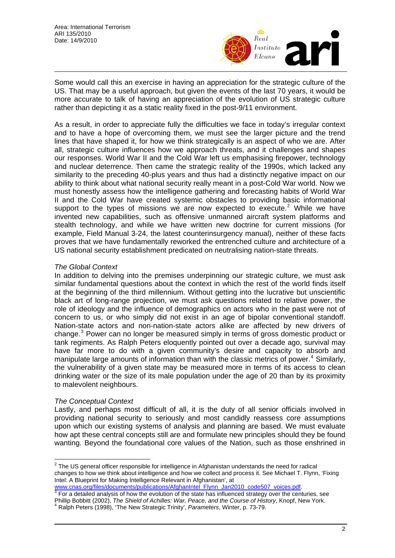

Some would call this an exercise in having an appreciation for the strategic culture of the US. That may be a useful approach, but given the events of the last 70 years, it would be more accurate to talk of having an appreciation of the evolution of US strategic culture rather than depicting it as a static reality fixed in the post-9/11 environment.

As a result, in order to appreciate fully the difficulties we face in today's irregular context and to have a hope of overcoming them, we must see the larger picture and the trend lines that have shaped it, for how we think strategically is an aspect of who we are. After all, strategic culture influences how we approach threats, and it challenges and shapes our responses. World War II and the Cold War left us emphasising firepower, technology and nuclear deterrence. Then came the strategic reality of the 1990s, which lacked any similarity to the preceding 40-plus years and thus had a distinctly negative impact on our ability to think about what national security really meant in a post-Cold War world. Now we must honestly assess how the intelligence gathering and forecasting habits of World War II and the Cold War have created systemic obstacles to providing basic informational support to the types of missions we are now expected to execute.<sup>[2](#page-1-0)</sup> While we have invented new capabilities, such as offensive unmanned aircraft system platforms and stealth technology, and while we have written new doctrine for current missions (for example, Field Manual 3-24, the latest counterinsurgency manual), neither of these facts proves that we have fundamentally reworked the entrenched culture and architecture of a US national security establishment predicated on neutralising nation-state threats.

# *The Global Context*

In addition to delving into the premises underpinning our strategic culture, we must ask similar fundamental questions about the context in which the rest of the world finds itself at the beginning of the third millennium. Without getting into the lucrative but unscientific black art of long-range projection, we must ask questions related to relative power, the role of ideology and the influence of demographics on actors who in the past were not of concern to us, or who simply did not exist in an age of bipolar conventional standoff. Nation-state actors and non-nation-state actors alike are affected by new drivers of change.<sup>[3](#page-1-1)</sup> Power can no longer be measured simply in terms of gross domestic product or tank regiments. As Ralph Peters eloquently pointed out over a decade ago, survival may have far more to do with a given community's desire and capacity to absorb and manipulate large amounts of information than with the classic metrics of power.<sup>[4](#page-1-2)</sup> Similarly, the vulnerability of a given state may be measured more in terms of its access to clean drinking water or the size of its male population under the age of 20 than by its proximity to malevolent neighbours.

# *The Conceptual Context*

Lastly, and perhaps most difficult of all, it is the duty of all senior officials involved in providing national security to seriously and most candidly reassess core assumptions upon which our existing systems of analysis and planning are based. We must evaluate how apt these central concepts still are and formulate new principles should they be found wanting. Beyond the foundational core values of the Nation, such as those enshrined in

<span id="page-1-0"></span> $\overline{a}$  $2$  The US general officer responsible for intelligence in Afghanistan understands the need for radical changes to how we think about intelligence and how we collect and process it. See Michael T. Flynn, 'Fixing Intel: A Blueprint for Making Intelligence Relevant in Afghanistan', at

<span id="page-1-2"></span><span id="page-1-1"></span>[www.cnas.org/files/documents/publications/AfghanIntel\\_Flynn\\_Jan2010\\_code507\\_voices.pdf](http://www.cnas.org/files/documents/publications/AfghanIntel_Flynn_Jan2010_code507_voices.pdf).<br><sup>[3](http://www.cnas.org/files/documents/publications/AfghanIntel_Flynn_Jan2010_code507_voices.pdf)</sup> For a detailed analysis of how the evolution of the state has influenced strategy over the centuries, see Phillip Bobbitt (2002), *The Shield of Achilles: War, Peace, and the Course of History*, Knopf, New York. 4 Ralph Peters (1998), 'The New Strategic Trinity', *Parameters*, Winter, p. 73-79.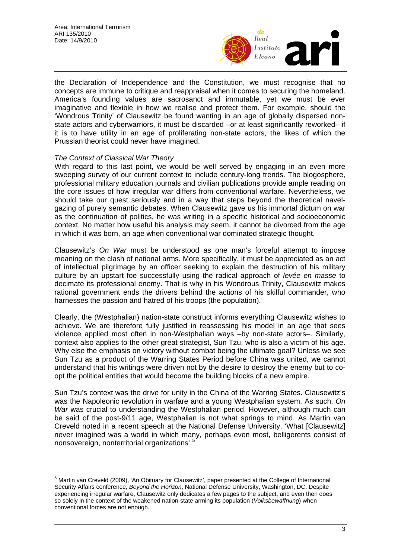

the Declaration of Independence and the Constitution, we must recognise that no concepts are immune to critique and reappraisal when it comes to securing the homeland. America's founding values are sacrosanct and immutable, yet we must be ever imaginative and flexible in how we realise and protect them. For example, should the 'Wondrous Trinity' of Clausewitz be found wanting in an age of globally dispersed nonstate actors and cyberwarriors, it must be discarded –or at least significantly reworked– if it is to have utility in an age of proliferating non-state actors, the likes of which the Prussian theorist could never have imagined.

#### *The Context of Classical War Theory*

With regard to this last point, we would be well served by engaging in an even more sweeping survey of our current context to include century-long trends. The blogosphere, professional military education journals and civilian publications provide ample reading on the core issues of how irregular war differs from conventional warfare. Nevertheless, we should take our quest seriously and in a way that steps beyond the theoretical navelgazing of purely semantic debates. When Clausewitz gave us his immortal dictum on war as the continuation of politics, he was writing in a specific historical and socioeconomic context. No matter how useful his analysis may seem, it cannot be divorced from the age in which it was born, an age when conventional war dominated strategic thought.

Clausewitz's *On War* must be understood as one man's forceful attempt to impose meaning on the clash of national arms. More specifically, it must be appreciated as an act of intellectual pilgrimage by an officer seeking to explain the destruction of his military culture by an upstart foe successfully using the radical approach of *levée en masse* to decimate its professional enemy. That is why in his Wondrous Trinity, Clausewitz makes rational government ends the drivers behind the actions of his skilful commander, who harnesses the passion and hatred of his troops (the population).

Clearly, the (Westphalian) nation-state construct informs everything Clausewitz wishes to achieve. We are therefore fully justified in reassessing his model in an age that sees violence applied most often in non-Westphalian ways –by non-state actors–. Similarly, context also applies to the other great strategist, Sun Tzu, who is also a victim of his age. Why else the emphasis on victory without combat being the ultimate goal? Unless we see Sun Tzu as a product of the Warring States Period before China was united, we cannot understand that his writings were driven not by the desire to destroy the enemy but to coopt the political entities that would become the building blocks of a new empire.

Sun Tzu's context was the drive for unity in the China of the Warring States. Clausewitz's was the Napoleonic revolution in warfare and a young Westphalian system. As such, *On War* was crucial to understanding the Westphalian period. However, although much can be said of the post-9/11 age, Westphalian is not what springs to mind. As Martin van Creveld noted in a recent speech at the National Defense University, 'What [Clausewitz] never imagined was a world in which many, perhaps even most, belligerents consist of nonsovereign, nonterritorial organizations'.[5](#page-2-0)

<span id="page-2-0"></span> 5 Martin van Creveld (2009), 'An Obituary for Clausewitz', paper presented at the College of International Security Affairs conference, *Beyond the Horizon*, National Defense University, Washington, DC. Despite experiencing irregular warfare, Clausewitz only dedicates a few pages to the subject, and even then does so solely in the context of the weakened nation-state arming its population (*Volksbewaffnung*) when conventional forces are not enough.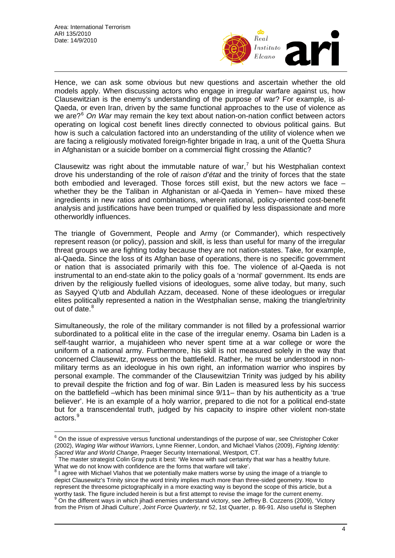

Hence, we can ask some obvious but new questions and ascertain whether the old models apply. When discussing actors who engage in irregular warfare against us, how Clausewitzian is the enemy's understanding of the purpose of war? For example, is al-Qaeda, or even Iran, driven by the same functional approaches to the use of violence as we are?<sup>[6](#page-3-0)</sup> *On War* may remain the key text about nation-on-nation conflict between actors operating on logical cost benefit lines directly connected to obvious political gains. But how is such a calculation factored into an understanding of the utility of violence when we are facing a religiously motivated foreign-fighter brigade in Iraq, a unit of the Quetta Shura in Afghanistan or a suicide bomber on a commercial flight crossing the Atlantic?

Clausewitz was right about the immutable nature of war,<sup>[7](#page-3-1)</sup> but his Westphalian context drove his understanding of the role of *raison d'état* and the trinity of forces that the state both embodied and leveraged. Those forces still exist, but the new actors we face – whether they be the Taliban in Afghanistan or al-Qaeda in Yemen– have mixed these ingredients in new ratios and combinations, wherein rational, policy-oriented cost-benefit analysis and justifications have been trumped or qualified by less dispassionate and more otherworldly influences.

The triangle of Government, People and Army (or Commander), which respectively represent reason (or policy), passion and skill, is less than useful for many of the irregular threat groups we are fighting today because they are not nation-states. Take, for example, al-Qaeda. Since the loss of its Afghan base of operations, there is no specific government or nation that is associated primarily with this foe. The violence of al-Qaeda is not instrumental to an end-state akin to the policy goals of a 'normal' government. Its ends are driven by the religiously fuelled visions of ideologues, some alive today, but many, such as Sayyed Q'utb and Abdullah Azzam, deceased. None of these ideologues or irregular elites politically represented a nation in the Westphalian sense, making the triangle/trinity out of date.<sup>[8](#page-3-2)</sup>

Simultaneously, the role of the military commander is not filled by a professional warrior subordinated to a political elite in the case of the irregular enemy. Osama bin Laden is a self-taught warrior, a mujahideen who never spent time at a war college or wore the uniform of a national army. Furthermore, his skill is not measured solely in the way that concerned Clausewitz, prowess on the battlefield. Rather, he must be understood in nonmilitary terms as an ideologue in his own right, an information warrior who inspires by personal example. The commander of the Clausewitzian Trinity was judged by his ability to prevail despite the friction and fog of war. Bin Laden is measured less by his success on the battlefield –which has been minimal since 9/11– than by his authenticity as a 'true believer'. He is an example of a holy warrior, prepared to die not for a political end-state but for a transcendental truth, judged by his capacity to inspire other violent non-state actors.<sup>[9](#page-3-3)</sup>

<span id="page-3-0"></span> 6 On the issue of expressive versus functional understandings of the purpose of war, see Christopher Coker (2002), *Waging War without Warriors*, Lynne Rienner, London, and Michael Vlahos (2009), *Fighting Identity: Sacred War and World Change*, Praeger Security International, Westport, CT.<br><sup>7</sup> The master strategist Colin Gray puts it best: 'We know with sad certainty that war has a healthy future.

<span id="page-3-1"></span>What we do not know with confidence are the forms that warfare will take'.

<span id="page-3-2"></span> $^8$  I agree with Michael Vlahos that we potentially make matters worse by using the image of a triangle to depict Clausewitz's Trinity since the word trinity implies much more than three-sided geometry. How to represent the threesome pictographically in a more exacting way is beyond the scope of this article, but a worthy task. The figure included herein is but a first attempt to revise the image for the current enemy. <sup>9</sup> On the different wavs in which jihadi enemies understand victory, see Jeffrey B. Cozzens (2009), 'Victory

<span id="page-3-3"></span>from the Prism of Jihadi Culture', *Joint Force Quarterly*, nr 52, 1st Quarter, p. 86-91. Also useful is Stephen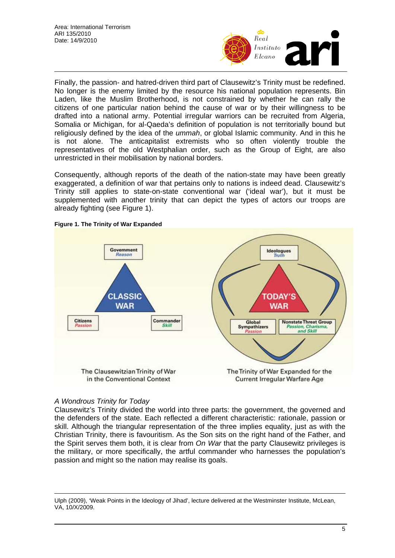

Finally, the passion- and hatred-driven third part of Clausewitz's Trinity must be redefined. No longer is the enemy limited by the resource his national population represents. Bin Laden, like the Muslim Brotherhood, is not constrained by whether he can rally the citizens of one particular nation behind the cause of war or by their willingness to be drafted into a national army. Potential irregular warriors can be recruited from Algeria, Somalia or Michigan, for al-Qaeda's definition of population is not territorially bound but religiously defined by the idea of the *ummah*, or global Islamic community. And in this he is not alone. The anticapitalist extremists who so often violently trouble the representatives of the old Westphalian order, such as the Group of Eight, are also unrestricted in their mobilisation by national borders.

Consequently, although reports of the death of the nation-state may have been greatly exaggerated, a definition of war that pertains only to nations is indeed dead. Clausewitz's Trinity still applies to state-on-state conventional war ('ideal war'), but it must be supplemented with another trinity that can depict the types of actors our troops are already fighting (see Figure 1).



**Figure 1. The Trinity of War Expanded** 

#### *A Wondrous Trinity for Today*

 $\overline{a}$ 

Clausewitz's Trinity divided the world into three parts: the government, the governed and the defenders of the state. Each reflected a different characteristic: rationale, passion or skill. Although the triangular representation of the three implies equality, just as with the Christian Trinity, there is favouritism. As the Son sits on the right hand of the Father, and the Spirit serves them both, it is clear from *On War* that the party Clausewitz privileges is the military, or more specifically, the artful commander who harnesses the population's passion and might so the nation may realise its goals.

Ulph (2009), 'Weak Points in the Ideology of Jihad', lecture delivered at the Westminster Institute, McLean, VA, 10/X/2009.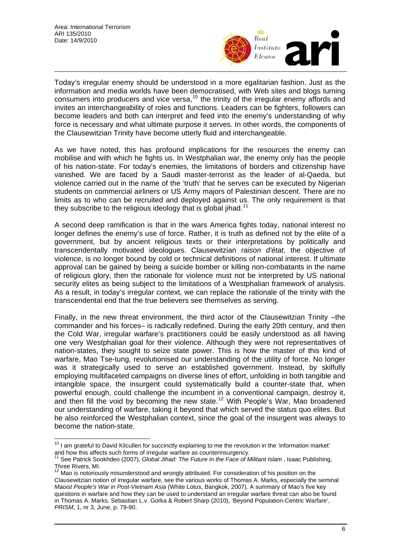

Today's irregular enemy should be understood in a more egalitarian fashion. Just as the information and media worlds have been democratised, with Web sites and blogs turning consumers into producers and vice versa,<sup>[10](#page-5-0)</sup> the trinity of the irregular enemy affords and invites an interchangeability of roles and functions. Leaders can be fighters, followers can become leaders and both can interpret and feed into the enemy's understanding of why force is necessary and what ultimate purpose it serves. In other words, the components of the Clausewitzian Trinity have become utterly fluid and interchangeable.

As we have noted, this has profound implications for the resources the enemy can mobilise and with which he fights us. In Westphalian war, the enemy only has the people of his nation-state. For today's enemies, the limitations of borders and citizenship have vanished. We are faced by a Saudi master-terrorist as the leader of al-Qaeda, but violence carried out in the name of the 'truth' that he serves can be executed by Nigerian students on commercial airliners or US Army majors of Palestinian descent. There are no limits as to who can be recruited and deployed against us. The only requirement is that they subscribe to the religious ideology that is global jihad.<sup>[11](#page-5-1)</sup>

A second deep ramification is that in the wars America fights today, national interest no longer defines the enemy's use of force. Rather, it is truth as defined not by the elite of a government, but by ancient religious texts or their interpretations by politically and transcendentally motivated ideologues. Clausewitzian *raison d'état*, the objective of violence, is no longer bound by cold or technical definitions of national interest. If ultimate approval can be gained by being a suicide bomber or killing non-combatants in the name of religious glory, then the rationale for violence must not be interpreted by US national security elites as being subject to the limitations of a Westphalian framework of analysis. As a result, in today's irregular context, we can replace the rationale of the trinity with the transcendental end that the true believers see themselves as serving.

Finally, in the new threat environment, the third actor of the Clausewitzian Trinity –the commander and his forces– is radically redefined. During the early 20th century, and then the Cold War, irregular warfare's practitioners could be easily understood as all having one very Westphalian goal for their violence. Although they were not representatives of nation-states, they sought to seize state power. This is how the master of this kind of warfare, Mao Tse-tung, revolutionised our understanding of the utility of force. No longer was it strategically used to serve an established government. Instead, by skilfully employing multifaceted campaigns on diverse lines of effort, unfolding in both tangible and intangible space, the insurgent could systematically build a counter-state that, when powerful enough, could challenge the incumbent in a conventional campaign, destroy it, and then fill the void by becoming the new state.<sup>[12](#page-5-2)</sup> With People's War, Mao broadened our understanding of warfare, taking it beyond that which served the status quo elites. But he also reinforced the Westphalian context, since the goal of the insurgent was always to become the nation-state.

<span id="page-5-0"></span> $\overline{a}$  $10$  I am grateful to David Kilcullen for succinctly explaining to me the revolution in the 'information market' and how this affects such forms of irregular warfare as counterinsurgency.

<span id="page-5-1"></span><sup>11</sup> See Patrick Sookhdeo (2007), *Global Jihad: The Future in the Face of Militant Islam* , Isaac Publishing, Three Rivers, MI.

<span id="page-5-2"></span>Mao is notoriously misunderstood and wrongly attributed. For consideration of his position on the Clausewitzian notion of irregular warfare, see the various works of Thomas A. Marks, especially the seminal *Maoist People's War in Post-Vietnam Asia* (White Lotus, Bangkok, 2007). A summary of Mao's five key questions in warfare and how they can be used to understand an irregular warfare threat can also be found in Thomas A. Marks, Sebastian L.v. Gorka & Robert Sharp (2010), 'Beyond Population-Centric Warfare', *PRISM*, 1, nr 3, June, p. 79-90.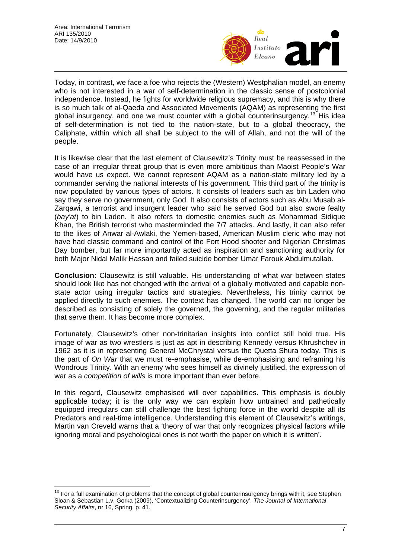$\overline{a}$ 



Today, in contrast, we face a foe who rejects the (Western) Westphalian model, an enemy who is not interested in a war of self-determination in the classic sense of postcolonial independence. Instead, he fights for worldwide religious supremacy, and this is why there is so much talk of al-Qaeda and Associated Movements (AQAM) as representing the first global insurgency, and one we must counter with a global counterinsurgency.<sup>[13](#page-6-0)</sup> His idea of self-determination is not tied to the nation-state, but to a global theocracy, the Caliphate, within which all shall be subject to the will of Allah, and not the will of the people.

Day bomber, but far more importantly acted as inspiration and sanctioning authority for both Major Nidal Malik Hassan and failed suicide bomber Umar Farouk Abdulmutallab. It is likewise clear that the last element of Clausewitz's Trinity must be reassessed in the case of an irregular threat group that is even more ambitious than Maoist People's War would have us expect. We cannot represent AQAM as a nation-state military led by a commander serving the national interests of his government. This third part of the trinity is now populated by various types of actors. It consists of leaders such as bin Laden who say they serve no government, only God. It also consists of actors such as Abu Musab al-Zarqawi, a terrorist and insurgent leader who said he served God but also swore fealty (*bay'at*) to bin Laden. It also refers to domestic enemies such as Mohammad Sidique Khan, the British terrorist who masterminded the 7/7 attacks. And lastly, it can also refer to the likes of Anwar al-Awlaki, the Yemen-based, American Muslim cleric who may not have had classic command and control of the Fort Hood shooter and Nigerian Christmas

described as consisting of solely the governed, the governing, and the regular militaries that serve them. It has become more complex. **Conclusion:** Clausewitz is still valuable. His understanding of what war between states should look like has not changed with the arrival of a globally motivated and capable nonstate actor using irregular tactics and strategies. Nevertheless, his trinity cannot be applied directly to such enemies. The context has changed. The world can no longer be

Wondrous Trinity. With an enemy who sees himself as divinely justified, the expression of war as a *competition of wills* is more important than ever before. Fortunately, Clausewitz's other non-trinitarian insights into conflict still hold true. His image of war as two wrestlers is just as apt in describing Kennedy versus Khrushchev in 1962 as it is in representing General McChrystal versus the Quetta Shura today. This is the part of *On War* that we must re-emphasise, while de-emphasising and reframing his

Martin van Creveld warns that a 'theory of war that only recognizes physical factors while ignoring moral and psychological ones is not worth the paper on which it is written'. In this regard, Clausewitz emphasised will over capabilities. This emphasis is doubly applicable today; it is the only way we can explain how untrained and pathetically equipped irregulars can still challenge the best fighting force in the world despite all its Predators and real-time intelligence. Understanding this element of Clausewitz's writings,

<span id="page-6-0"></span> $13$  For a full examination of problems that the concept of global counterinsurgency brings with it, see Stephen Sloan & Sebastian L.v. Gorka (2009), 'Contextualizing Counterinsurgency', *The Journal of International Security Affairs*, nr 16, Spring, p. 41.